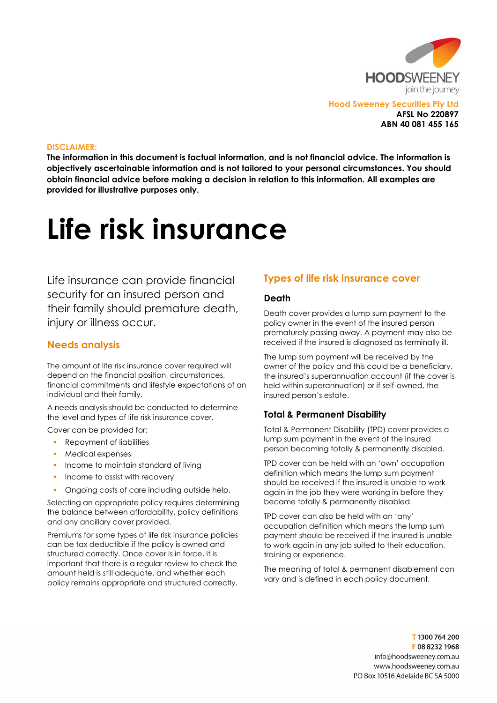

Hood Sweeney Securities Pty Ltd AFSL No 220897 ABN 40 081 455 165

#### DISCLAIMER:

The information in this document is factual information, and is not financial advice. The information is objectively ascertainable information and is not tailored to your personal circumstances. You should obtain financial advice before making a decision in relation to this information. All examples are provided for illustrative purposes only.

# Life risk insurance

Life insurance can provide financial security for an insured person and their family should premature death, injury or illness occur.

#### Needs analysis

The amount of life risk insurance cover required will depend on the financial position, circumstances, financial commitments and lifestyle expectations of an individual and their family.

A needs analysis should be conducted to determine the level and types of life risk insurance cover.

Cover can be provided for:

- Repayment of liabilities
- **Medical expenses**
- **Income to maintain standard of living**
- **Income to assist with recovery**
- Ongoing costs of care including outside help.

Selecting an appropriate policy requires determining the balance between affordability, policy definitions and any ancillary cover provided.

Premiums for some types of life risk insurance policies can be tax deductible if the policy is owned and structured correctly. Once cover is in force, it is important that there is a regular review to check the amount held is still adequate, and whether each policy remains appropriate and structured correctly.

## Types of life risk insurance cover

#### Death

Death cover provides a lump sum payment to the policy owner in the event of the insured person prematurely passing away. A payment may also be received if the insured is diagnosed as terminally ill.

The lump sum payment will be received by the owner of the policy and this could be a beneficiary, the insured's superannuation account (if the cover is held within superannuation) or if self-owned, the insured person's estate.

#### Total & Permanent Disability

Total & Permanent Disability (TPD) cover provides a lump sum payment in the event of the insured person becoming totally & permanently disabled.

TPD cover can be held with an 'own' occupation definition which means the lump sum payment should be received if the insured is unable to work again in the job they were working in before they became totally & permanently disabled.

TPD cover can also be held with an 'any' occupation definition which means the lump sum payment should be received if the insured is unable to work again in any job suited to their education, training or experience.

The meaning of total & permanent disablement can vary and is defined in each policy document.

> T1300 764 200 F0882321968 info@hoodsweenev.com.au www.hoodsweeney.com.au PO Box 10516 Adelaide BC SA 5000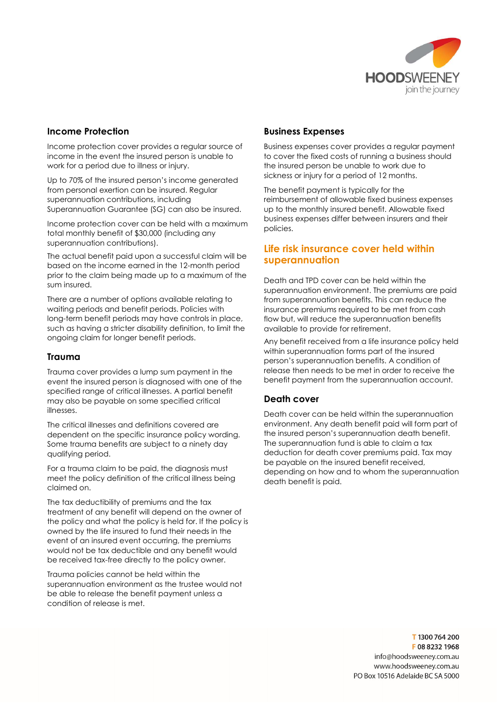

## Income Protection

Income protection cover provides a regular source of income in the event the insured person is unable to work for a period due to illness or injury.

Up to 70% of the insured person's income generated from personal exertion can be insured. Regular superannuation contributions, including Superannuation Guarantee (SG) can also be insured.

Income protection cover can be held with a maximum total monthly benefit of \$30,000 (including any superannuation contributions).

The actual benefit paid upon a successful claim will be based on the income earned in the 12-month period prior to the claim being made up to a maximum of the sum insured.

There are a number of options available relating to waiting periods and benefit periods. Policies with long-term benefit periods may have controls in place, such as having a stricter disability definition, to limit the ongoing claim for longer benefit periods.

#### Trauma

Trauma cover provides a lump sum payment in the event the insured person is diagnosed with one of the specified range of critical illnesses. A partial benefit may also be payable on some specified critical illnesses.

The critical illnesses and definitions covered are dependent on the specific insurance policy wording. Some trauma benefits are subject to a ninety day qualifying period.

For a trauma claim to be paid, the diagnosis must meet the policy definition of the critical illness being claimed on.

The tax deductibility of premiums and the tax treatment of any benefit will depend on the owner of the policy and what the policy is held for. If the policy is owned by the life insured to fund their needs in the event of an insured event occurring, the premiums would not be tax deductible and any benefit would be received tax-free directly to the policy owner.

Trauma policies cannot be held within the superannuation environment as the trustee would not be able to release the benefit payment unless a condition of release is met.

# Business Expenses

Business expenses cover provides a regular payment to cover the fixed costs of running a business should the insured person be unable to work due to sickness or injury for a period of 12 months.

The benefit payment is typically for the reimbursement of allowable fixed business expenses up to the monthly insured benefit. Allowable fixed business expenses differ between insurers and their policies.

# Life risk insurance cover held within superannuation

Death and TPD cover can be held within the superannuation environment. The premiums are paid from superannuation benefits. This can reduce the insurance premiums required to be met from cash flow but, will reduce the superannuation benefits available to provide for retirement.

Any benefit received from a life insurance policy held within superannuation forms part of the insured person's superannuation benefits. A condition of release then needs to be met in order to receive the benefit payment from the superannuation account.

## Death cover

Death cover can be held within the superannuation environment. Any death benefit paid will form part of the insured person's superannuation death benefit. The superannuation fund is able to claim a tax deduction for death cover premiums paid. Tax may be payable on the insured benefit received, depending on how and to whom the superannuation death benefit is paid.